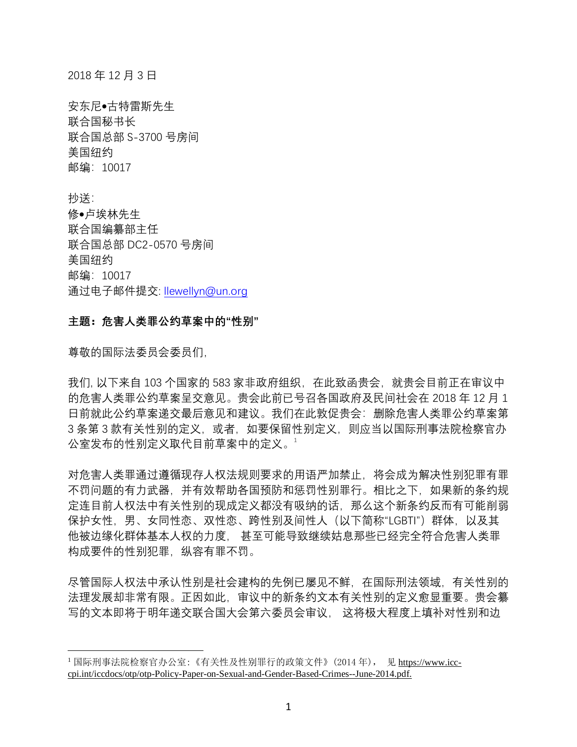2018 年 12 月 3 日

安东尼•古特雷斯先生 联合国秘书长 联合国总部 S-3700 号房间 美国纽约 邮编:10017

抄送: 修•卢埃林先生 联合国编纂部主任 联合国总部 DC2-0570 号房间 美国纽约 邮编:10017 通过电子邮件提交: [llewellyn@un.org](mailto:llewellyn@un.org)

## **主题:危害人类罪公约草案中的"性别"**

尊敬的国际法委员会委员们,

 $\overline{a}$ 

我们, 以下来自 103 个国家的 583 家非政府组织, 在此致函贵会, 就贵会目前正在审议中 的危害人类罪公约草案呈交意见。贵会此前已号召各国政府及民间社会在 2018 年 12 月 1 日前就此公约草案递交最后意见和建议。我们在此敦促贵会:删除危害人类罪公约草案第 3 条第 3 款有关性别的定义, 或者, 如要保留性别定义, 则应当以国际刑事法院检察官办 公室发布的性别定义取代目前草案中的定义。1

对危害人类罪通过遵循现存人权法规则要求的用语严加禁止,将会成为解决性别犯罪有罪 不罚问题的有力武器,并有效帮助各国预防和惩罚性别罪行。相比之下,如果新的条约规 定连目前人权法中有关性别的现成定义都没有吸纳的话,那么这个新条约反而有可能削弱 保护女性,男、女同性恋、双性恋、跨性别及间性人(以下简称"LGBTI")群体,以及其 他被边缘化群体基本人权的力度, 甚至可能导致继续姑息那些已经完全符合危害人类罪 构成要件的性别犯罪,纵容有罪不罚。

尽管国际人权法中承认性别是社会建构的先例已屡见不鲜,在国际刑法领域,有关性别的 法理发展却非常有限。正因如此,审议中的新条约文本有关性别的定义愈显重要。贵会纂 写的文本即将于明年递交联合国大会第六委员会审议, 这将极大程度上填补对性别和边

<sup>1</sup> 国际刑事法院检察官办公室:《有关性及性别罪行的政策文件》(2014 年), 见 https://www.icccpi.int/iccdocs/otp/otp-Policy-Paper-on-Sexual-and-Gender-Based-Crimes--June-2014.pdf.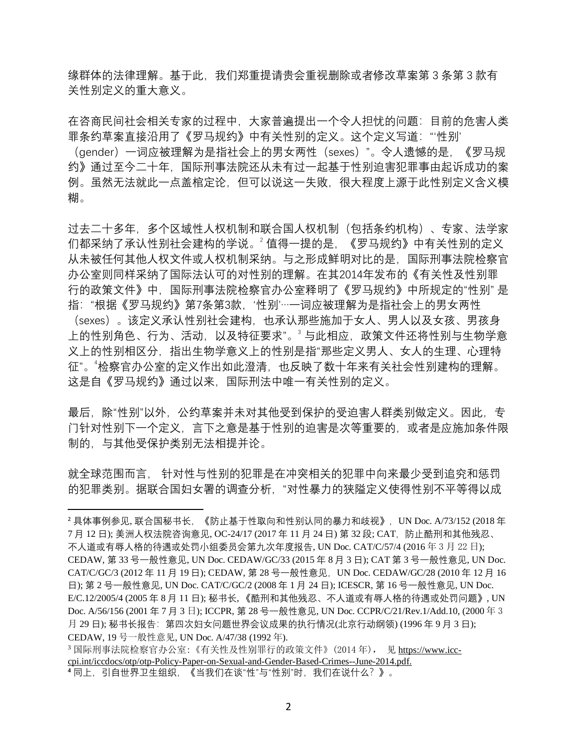缘群体的法律理解。基于此,我们郑重提请贵会重视删除或者修改草案第 3 条第 3 款有 关性别定义的重大意义。

在咨商民间社会相关专家的过程中,大家普遍提出一个令人担忧的问题:目前的危害人类 罪条约草案直接沿用了《罗马规约》中有关性别的定义。这个定义写道:"'性别'

(gender)一词应被理解为是指社会上的男女两性(sexes)"。令人遗憾的是,《罗马规 约》通过至今二十年,国际刑事法院还从未有过一起基于性别迫害犯罪事由起诉成功的案 例。虽然无法就此一点盖棺定论,但可以说这一失败,很大程度上源于此性别定义含义模 糊。

过去二十多年,多个区域性人权机制和联合国人权机制(包括条约机构)、专家、法学家 们都采纳了承认性别社会建构的学说。2 值得一提的是, 《罗马规约》中有关性别的定义 从未被任何其他人权文件或人权机制采纳。与之形成鲜明对比的是,国际刑事法院检察官 办公室则同样采纳了国际法认可的对性别的理解。在其2014年发布的《有关性及性别罪 行的政策文件》中,国际刑事法院检察官办公室释明了《罗马规约》中所规定的"性别" 是 指:"根据《罗马规约》第7条第3款,'性别'…一词应被理解为是指社会上的男女两性 (sexes)。该定义承认性别社会建构,也承认那些施加于女人、男人以及女孩、男孩身 上的性别角色、行为、活动,以及特征要求"。<sup>3</sup> 与此相应,政策文件还将性别与生物学意 义上的性别相区分,指出生物学意义上的性别是指"那些定义男人、女人的生理、心理特 征"。"检察官办公室的定义作出如此澄清,也反映了数十年来有关社会性别建构的理解。 这是自《罗马规约》通过以来,国际刑法中唯一有关性别的定义。

最后, 除"性别"以外, 公约草案并未对其他受到保护的受迫害人群类别做定义。因此, 专 门针对性别下一个定义,言下之意是基于性别的迫害是次等重要的,或者是应施加条件限 制的,与其他受保护类别无法相提并论。

就全球范围而言, 针对性与性别的犯罪是在冲突相关的犯罪中向来最少受到追究和惩罚 的犯罪类别。据联合国妇女署的调查分析,"对性暴力的狭隘定义使得性别不平等得以成

<sup>3</sup> 国际刑事法院检察官办公室:《有关性及性别罪行的政策文件》(2014 年), 见 https://www.icccpi.int/iccdocs/otp/otp-Policy-Paper-on-Sexual-and-Gender-Based-Crimes--June-2014.pdf.

 $\overline{a}$ 

<sup>2</sup> 具体事例参见, 联合国秘书长,《防止基于性取向和性别认同的暴力和歧视》,UN Doc. A/73/152 (2018 年 7月 12 日); 美洲人权法院咨询意见, OC-24/17 (2017 年 11 月 24 日) 第 32 段; CAT, 防止酷刑和其他残忍、 不人道或有辱人格的待遇或处罚小组委员会第九次年度报告, UN Doc. CAT/C/57/4 (2016 年 3 月 22 日); CEDAW, 第 33 号一般性意见, UN Doc. CEDAW/GC/33 (2015 年 8 月 3 日); CAT 第 3 号一般性意见, UN Doc. CAT/C/GC/3 (2012年11月19日); CEDAW, 第28 号一般性意见, UN Doc. CEDAW/GC/28 (2010年12月16 日); 第 2 号一般性意见, UN Doc. CAT/C/GC/2 (2008 年 1 月 24 日); ICESCR, 第 16 号一般性意见, UN Doc. E/C.12/2005/4 (2005 年 8 月 11 日); 秘书长, 《酷刑和其他残忍、不人道或有辱人格的待遇或处罚问题》, UN Doc. A/56/156 (2001 年 7 月 3 日); ICCPR, 第 28 号一般性意见, UN Doc. CCPR/C/21/Rev.1/Add.10, (2000 年 3 月 29 日); 秘书长报告: 第四次妇女问题世界会议成果的执行情况(北京行动纲领) (1996年9月3日); CEDAW, 19 号一般性意见, UN Doc. A/47/38 (1992 年).

**<sup>4</sup>** 同上,引自世界卫生组织,《当我们在谈"性"与"性别"时,我们在说什么?》。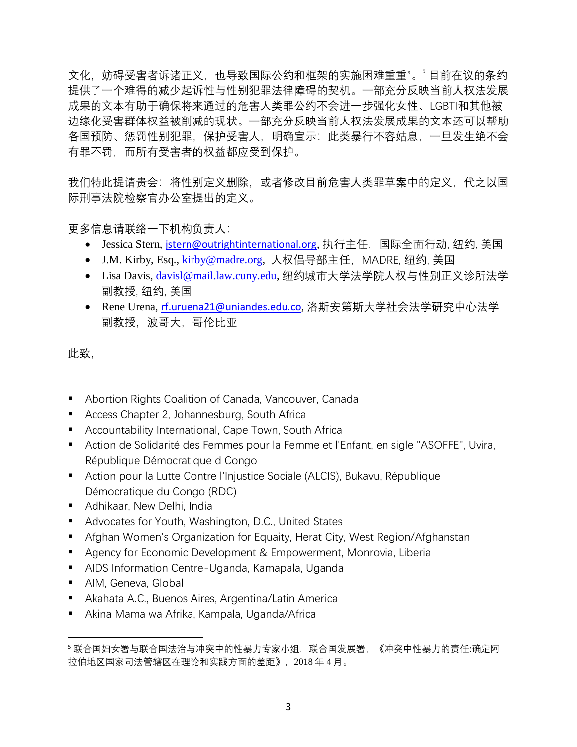文化,妨碍受害者诉诸正义,也导致国际公约和框架的实施困难重重"。"目前在议的条约 提供了一个难得的减少起诉性与性别犯罪法律障碍的契机。一部充分反映当前人权法发展 成果的文本有助于确保将来通过的危害人类罪公约不会进一步强化女性、LGBTI和其他被 边缘化受害群体权益被削减的现状。一部充分反映当前人权法发展成果的文本还可以帮助 各国预防、惩罚性别犯罪,保护受害人,明确宣示:此类暴行不容姑息,一旦发生绝不会 有罪不罚,而所有受害者的权益都应受到保护。

我们特此提请贵会:将性别定义删除,或者修改目前危害人类罪草案中的定义,代之以国 际刑事法院检察官办公室提出的定义。

更多信息请联络一下机构负责人:

- Jessica Stern, [jstern@outrightinternational.org](mailto:jstern@outrightinternational.org), 执行主任, 国际全面行动, 纽约, 美国
- J.M. Kirby, Esq., [kirby@madre.org,](mailto:kirby@madre.org) 人权倡导部主任, MADRE, 纽约, 美国
- Lisa Davis, [davisl@mail.law.cuny.edu,](mailto:davisl@mail.law.cuny.edu) 纽约城市大学法学院人权与性别正义诊所法学 副教授, 纽约, 美国
- Rene Urena, [rf.uruena21@uniandes.edu.co](mailto:rf.uruena21@uniandes.edu.co), 洛斯安第斯大学社会法学研究中心法学 副教授,波哥大,哥伦比亚

此致,

- Abortion Rights Coalition of Canada, Vancouver, Canada
- Access Chapter 2, Johannesburg, South Africa
- Accountability International, Cape Town, South Africa
- Action de Solidarité des Femmes pour la Femme et l'Enfant, en sigle "ASOFFE", Uvira, République Démocratique d Congo
- Action pour la Lutte Contre l'Injustice Sociale (ALCIS), Bukavu, République Démocratique du Congo (RDC)
- **E** Adhikaar, New Delhi, India
- Advocates for Youth, Washington, D.C., United States
- Afghan Women's Organization for Equaity, Herat City, West Region/Afghanstan
- Agency for Economic Development & Empowerment, Monrovia, Liberia
- AIDS Information Centre-Uganda, Kamapala, Uganda
- AIM, Geneva, Global

 $\overline{a}$ 

- Akahata A.C., Buenos Aires, Argentina/Latin America
- Akina Mama wa Afrika, Kampala, Uganda/Africa

<sup>5</sup> 联合国妇女署与联合国法治与冲突中的性暴力专家小组,联合国发展署,《冲突中性暴力的责任:确定阿 拉伯地区国家司法管辖区在理论和实践方面的差距》,2018 年 4 月。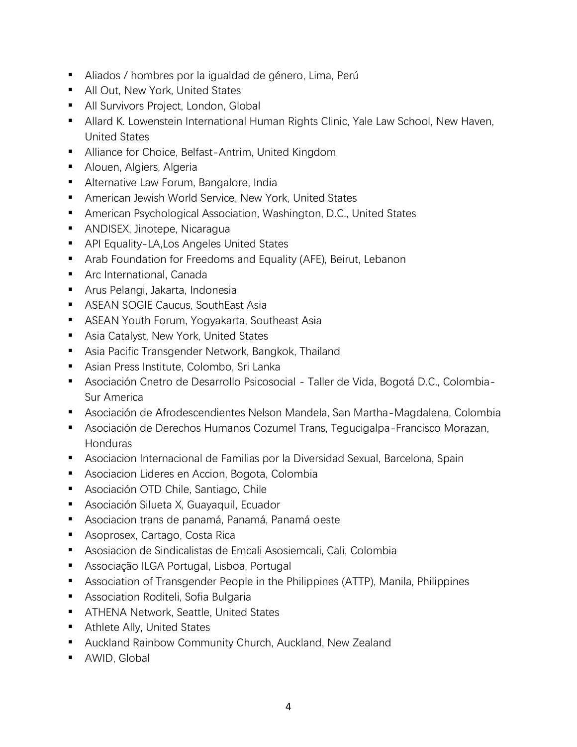- Aliados / hombres por la igualdad de género, Lima, Perú
- All Out, New York, United States
- **E** All Survivors Project, London, Global
- Allard K. Lowenstein International Human Rights Clinic, Yale Law School, New Haven, United States
- Alliance for Choice, Belfast-Antrim, United Kingdom
- Alouen, Algiers, Algeria
- Alternative Law Forum, Bangalore, India
- American Jewish World Service, New York, United States
- American Psychological Association, Washington, D.C., United States
- ANDISEX, Jinotepe, Nicaragua
- API Equality-LA, Los Angeles United States
- Arab Foundation for Freedoms and Equality (AFE), Beirut, Lebanon
- Arc International, Canada
- Arus Pelangi, Jakarta, Indonesia
- ASEAN SOGIE Caucus, SouthEast Asia
- ASEAN Youth Forum, Yogyakarta, Southeast Asia
- Asia Catalyst, New York, United States
- Asia Pacific Transgender Network, Bangkok, Thailand
- Asian Press Institute, Colombo, Sri Lanka
- Asociación Cnetro de Desarrollo Psicosocial Taller de Vida, Bogotá D.C., Colombia-Sur America
- Asociación de Afrodescendientes Nelson Mandela, San Martha-Magdalena, Colombia
- Asociación de Derechos Humanos Cozumel Trans, Tegucigalpa-Francisco Morazan, Honduras
- Asociacion Internacional de Familias por la Diversidad Sexual, Barcelona, Spain
- Asociacion Lideres en Accion, Bogota, Colombia
- Asociación OTD Chile, Santiago, Chile
- Asociación Silueta X, Guayaquil, Ecuador
- Asociacion trans de panamá, Panamá, Panamá oeste
- Asoprosex, Cartago, Costa Rica
- Asosiacion de Sindicalistas de Emcali Asosiemcali, Cali, Colombia
- Associação ILGA Portugal, Lisboa, Portugal
- Association of Transgender People in the Philippines (ATTP), Manila, Philippines
- Association Roditeli, Sofia Bulgaria
- ATHENA Network, Seattle, United States
- Athlete Ally, United States
- Auckland Rainbow Community Church, Auckland, New Zealand
- AWID, Global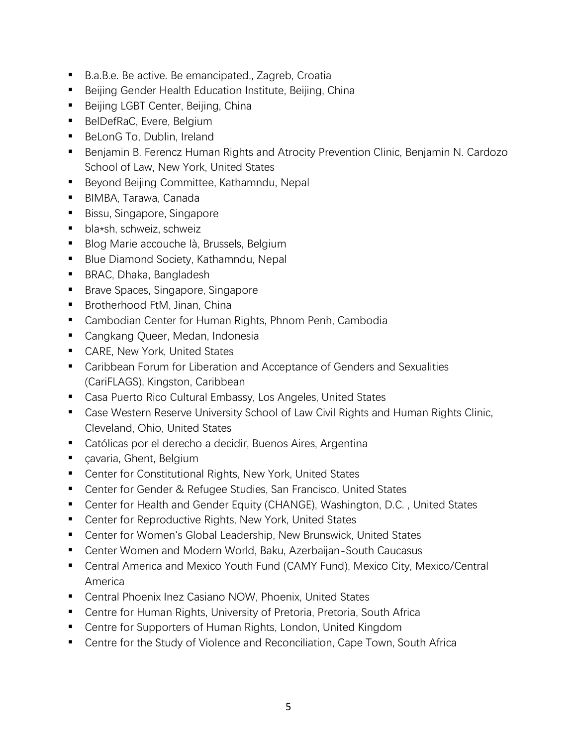- B.a.B.e. Be active. Be emancipated., Zagreb, Croatia
- Beijing Gender Health Education Institute, Beijing, China
- Beijing LGBT Center, Beijing, China
- BelDefRaC, Evere, Belgium
- BeLonG To, Dublin, Ireland
- Benjamin B. Ferencz Human Rights and Atrocity Prevention Clinic, Benjamin N. Cardozo School of Law, New York, United States
- Beyond Beijing Committee, Kathamndu, Nepal
- BIMBA, Tarawa, Canada
- Bissu, Singapore, Singapore
- bla\*sh, schweiz, schweiz
- Blog Marie accouche là, Brussels, Belgium
- Blue Diamond Society, Kathamndu, Nepal
- BRAC, Dhaka, Bangladesh
- Brave Spaces, Singapore, Singapore
- Brotherhood FtM, Jinan, China
- Cambodian Center for Human Rights, Phnom Penh, Cambodia
- Cangkang Queer, Medan, Indonesia
- CARE, New York, United States
- Caribbean Forum for Liberation and Acceptance of Genders and Sexualities (CariFLAGS), Kingston, Caribbean
- Casa Puerto Rico Cultural Embassy, Los Angeles, United States
- Case Western Reserve University School of Law Civil Rights and Human Rights Clinic, Cleveland, Ohio, United States
- Católicas por el derecho a decidir, Buenos Aires, Argentina
- cavaria, Ghent, Belgium
- Center for Constitutional Rights, New York, United States
- Center for Gender & Refugee Studies, San Francisco, United States
- Center for Health and Gender Equity (CHANGE), Washington, D.C., United States
- Center for Reproductive Rights, New York, United States
- Center for Women's Global Leadership, New Brunswick, United States
- Center Women and Modern World, Baku, Azerbaijan-South Caucasus
- Central America and Mexico Youth Fund (CAMY Fund), Mexico City, Mexico/Central America
- Central Phoenix Inez Casiano NOW, Phoenix, United States
- Centre for Human Rights, University of Pretoria, Pretoria, South Africa
- Centre for Supporters of Human Rights, London, United Kingdom
- Centre for the Study of Violence and Reconciliation, Cape Town, South Africa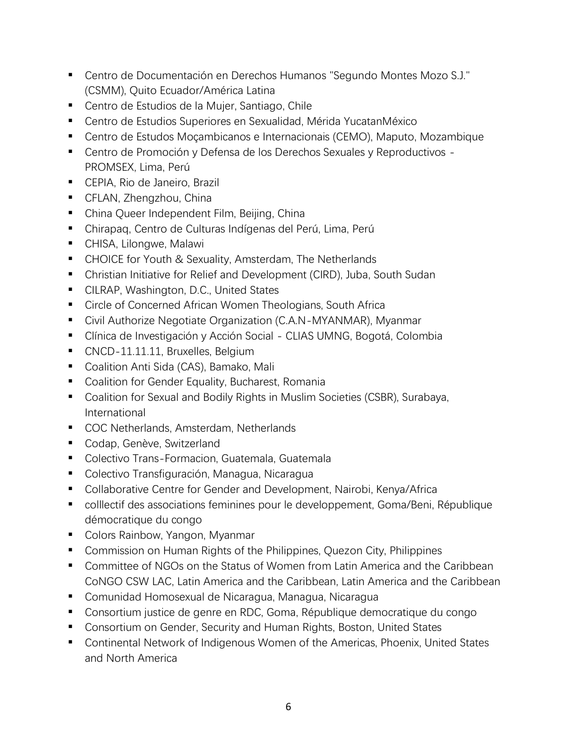- Centro de Documentación en Derechos Humanos "Segundo Montes Mozo S.J." (CSMM), Quito Ecuador/América Latina
- Centro de Estudios de la Mujer, Santiago, Chile
- Centro de Estudios Superiores en Sexualidad, Mérida YucatanMéxico
- Centro de Estudos Moçambicanos e Internacionais (CEMO), Maputo, Mozambique
- Centro de Promoción y Defensa de los Derechos Sexuales y Reproductivos -PROMSEX, Lima, Perú
- CEPIA, Rio de Janeiro, Brazil
- CFLAN, Zhengzhou, China
- China Queer Independent Film, Beijing, China
- Chirapaq, Centro de Culturas Indígenas del Perú, Lima, Perú
- CHISA, Lilongwe, Malawi
- CHOICE for Youth & Sexuality, Amsterdam, The Netherlands
- Christian Initiative for Relief and Development (CIRD), Juba, South Sudan
- CILRAP, Washington, D.C., United States
- Circle of Concerned African Women Theologians, South Africa
- Civil Authorize Negotiate Organization (C.A.N-MYANMAR), Myanmar
- Clínica de Investigación y Acción Social CLIAS UMNG, Bogotá, Colombia
- CNCD-11.11.11, Bruxelles, Belgium
- Coalition Anti Sida (CAS), Bamako, Mali
- Coalition for Gender Equality, Bucharest, Romania
- Coalition for Sexual and Bodily Rights in Muslim Societies (CSBR), Surabaya, International
- COC Netherlands, Amsterdam, Netherlands
- Codap, Genève, Switzerland
- Colectivo Trans-Formacion, Guatemala, Guatemala
- Colectivo Transfiguración, Managua, Nicaragua
- Collaborative Centre for Gender and Development, Nairobi, Kenya/Africa
- colllectif des associations feminines pour le developpement, Goma/Beni, République démocratique du congo
- Colors Rainbow, Yangon, Myanmar
- Commission on Human Rights of the Philippines, Quezon City, Philippines
- Committee of NGOs on the Status of Women from Latin America and the Caribbean CoNGO CSW LAC, Latin America and the Caribbean, Latin America and the Caribbean
- Comunidad Homosexual de Nicaragua, Managua, Nicaragua
- Consortium justice de genre en RDC, Goma, République democratique du congo
- Consortium on Gender, Security and Human Rights, Boston, United States
- Continental Network of Indigenous Women of the Americas, Phoenix, United States and North America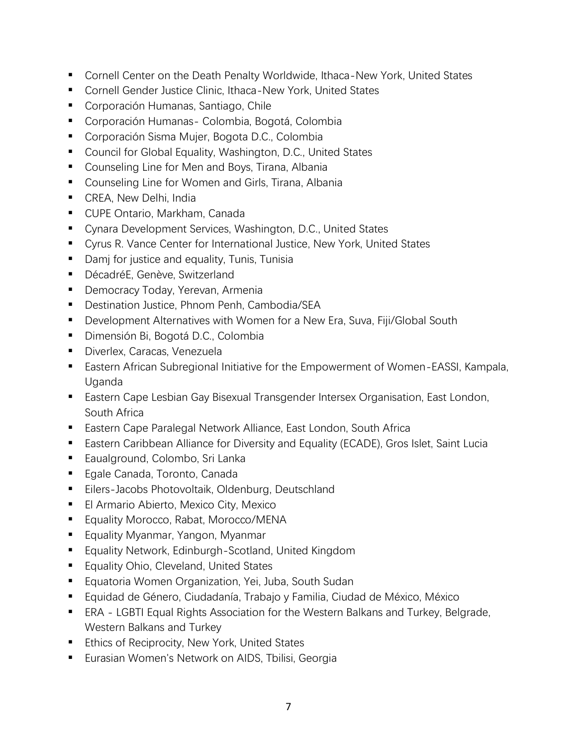- Cornell Center on the Death Penalty Worldwide, Ithaca-New York, United States
- Cornell Gender Justice Clinic, Ithaca-New York, United States
- Corporación Humanas, Santiago, Chile
- Corporación Humanas- Colombia, Bogotá, Colombia
- Corporación Sisma Mujer, Bogota D.C., Colombia
- Council for Global Equality, Washington, D.C., United States
- Counseling Line for Men and Boys, Tirana, Albania
- Counseling Line for Women and Girls, Tirana, Albania
- CREA, New Delhi, India
- CUPE Ontario, Markham, Canada
- Cynara Development Services, Washington, D.C., United States
- Cyrus R. Vance Center for International Justice, New York, United States
- Damj for justice and equality, Tunis, Tunisia
- DécadréE, Genève, Switzerland
- **Democracy Today, Yerevan, Armenia**
- Destination Justice, Phnom Penh, Cambodia/SEA
- Development Alternatives with Women for a New Era, Suva, Fiji/Global South
- Dimensión Bi, Bogotá D.C., Colombia
- Diverlex, Caracas, Venezuela
- Eastern African Subregional Initiative for the Empowerment of Women-EASSI, Kampala, Uganda
- Eastern Cape Lesbian Gay Bisexual Transgender Intersex Organisation, East London, South Africa
- Eastern Cape Paralegal Network Alliance, East London, South Africa
- Eastern Caribbean Alliance for Diversity and Equality (ECADE), Gros Islet, Saint Lucia
- Eaualground, Colombo, Sri Lanka
- Egale Canada, Toronto, Canada
- Eilers-Jacobs Photovoltaik, Oldenburg, Deutschland
- El Armario Abierto, Mexico City, Mexico
- Equality Morocco, Rabat, Morocco/MENA
- Equality Myanmar, Yangon, Myanmar
- Equality Network, Edinburgh-Scotland, United Kingdom
- Equality Ohio, Cleveland, United States
- Equatoria Women Organization, Yei, Juba, South Sudan
- Equidad de Género, Ciudadanía, Trabajo y Familia, Ciudad de México, México
- ERA LGBTI Equal Rights Association for the Western Balkans and Turkey, Belgrade, Western Balkans and Turkey
- Ethics of Reciprocity, New York, United States
- Eurasian Women's Network on AIDS, Tbilisi, Georgia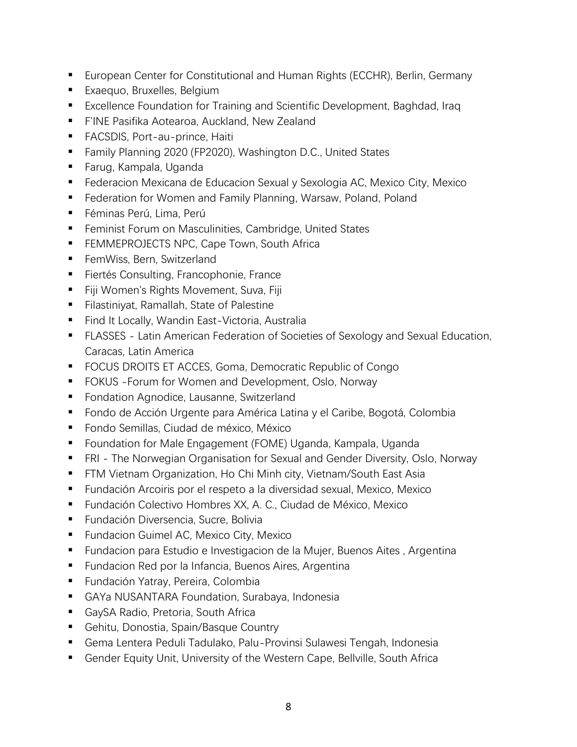- European Center for Constitutional and Human Rights (ECCHR), Berlin, Germany
- **Exaequo, Bruxelles, Belgium**
- Excellence Foundation for Training and Scientific Development, Baghdad, Iraq
- **F'INE Pasifika Aotearoa, Auckland, New Zealand**
- FACSDIS, Port-au-prince, Haiti
- Family Planning 2020 (FP2020), Washington D.C., United States
- Farug, Kampala, Uganda
- Federacion Mexicana de Educacion Sexual y Sexologia AC, Mexico City, Mexico
- Federation for Women and Family Planning, Warsaw, Poland, Poland
- Féminas Perú, Lima, Perú
- Feminist Forum on Masculinities, Cambridge, United States
- **EXECTS NPC, Cape Town, South Africally FEMMEPROJECTS NPC, Cape Town, South Africally**
- FemWiss, Bern, Switzerland
- Fiertés Consulting, Francophonie, France
- Fiji Women's Rights Movement, Suva, Fiji
- Filastiniyat, Ramallah, State of Palestine
- Find It Locally, Wandin East-Victoria, Australia
- FLASSES Latin American Federation of Societies of Sexology and Sexual Education, Caracas, Latin America
- FOCUS DROITS ET ACCES, Goma, Democratic Republic of Congo
- FOKUS Forum for Women and Development, Oslo, Norway
- Fondation Agnodice, Lausanne, Switzerland
- Fondo de Acción Urgente para América Latina y el Caribe, Bogotá, Colombia
- Fondo Semillas, Ciudad de méxico, México
- Foundation for Male Engagement (FOME) Uganda, Kampala, Uganda
- **FRI** The Norwegian Organisation for Sexual and Gender Diversity, Oslo, Norway
- FTM Vietnam Organization, Ho Chi Minh city, Vietnam/South East Asia
- Fundación Arcoiris por el respeto a la diversidad sexual, Mexico, Mexico
- Fundación Colectivo Hombres XX, A. C., Ciudad de México, Mexico
- Fundación Diversencia, Sucre, Bolivia
- Fundacion Guimel AC, Mexico City, Mexico
- Fundacion para Estudio e Investigacion de la Mujer, Buenos Aites, Argentina
- Fundacion Red por la Infancia, Buenos Aires, Argentina
- Fundación Yatray, Pereira, Colombia
- GAYa NUSANTARA Foundation, Surabaya, Indonesia
- GaySA Radio, Pretoria, South Africa
- Gehitu, Donostia, Spain/Basque Country
- Gema Lentera Peduli Tadulako, Palu-Provinsi Sulawesi Tengah, Indonesia
- Gender Equity Unit, University of the Western Cape, Bellville, South Africa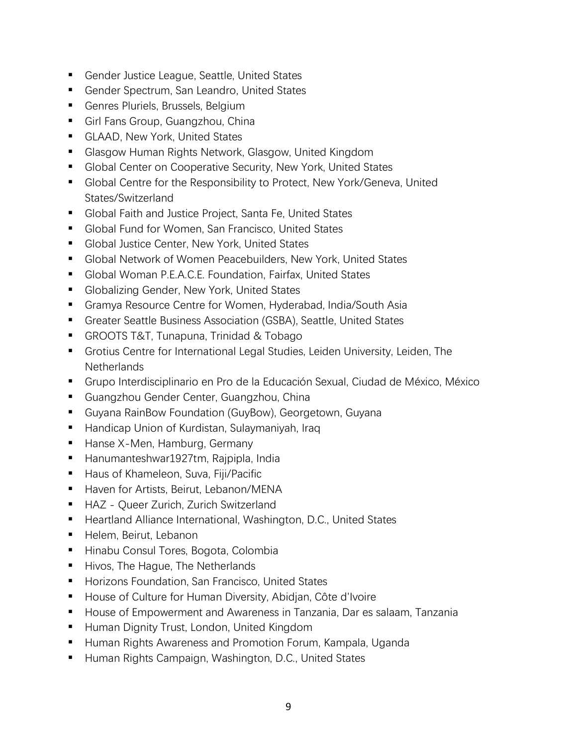- Gender Justice League, Seattle, United States
- Gender Spectrum, San Leandro, United States
- Genres Pluriels, Brussels, Belgium
- Girl Fans Group, Guangzhou, China
- **E** GLAAD, New York, United States
- Glasgow Human Rights Network, Glasgow, United Kingdom
- Global Center on Cooperative Security, New York, United States
- Global Centre for the Responsibility to Protect, New York/Geneva, United States/Switzerland
- Global Faith and Justice Project, Santa Fe, United States
- Global Fund for Women, San Francisco, United States
- Global Justice Center, New York, United States
- Global Network of Women Peacebuilders, New York, United States
- Global Woman P.E.A.C.E. Foundation, Fairfax, United States
- Globalizing Gender, New York, United States
- Gramya Resource Centre for Women, Hyderabad, India/South Asia
- Greater Seattle Business Association (GSBA), Seattle, United States
- GROOTS T&T, Tunapuna, Trinidad & Tobago
- **E** Grotius Centre for International Legal Studies, Leiden University, Leiden, The **Netherlands**
- Grupo Interdisciplinario en Pro de la Educación Sexual, Ciudad de México, México
- Guangzhou Gender Center, Guangzhou, China
- Guyana RainBow Foundation (GuyBow), Georgetown, Guyana
- Handicap Union of Kurdistan, Sulaymaniyah, Iraq
- Hanse X-Men, Hamburg, Germany
- Hanumanteshwar1927tm, Rajpipla, India
- Haus of Khameleon, Suva, Fiji/Pacific
- Haven for Artists, Beirut, Lebanon/MENA
- HAZ Queer Zurich, Zurich Switzerland
- Heartland Alliance International, Washington, D.C., United States
- Helem, Beirut, Lebanon
- Hinabu Consul Tores, Bogota, Colombia
- Hivos, The Hague, The Netherlands
- Horizons Foundation, San Francisco, United States
- House of Culture for Human Diversity, Abidian, Côte d'Ivoire
- House of Empowerment and Awareness in Tanzania, Dar es salaam, Tanzania
- Human Dignity Trust, London, United Kingdom
- Human Rights Awareness and Promotion Forum, Kampala, Uganda
- Human Rights Campaign, Washington, D.C., United States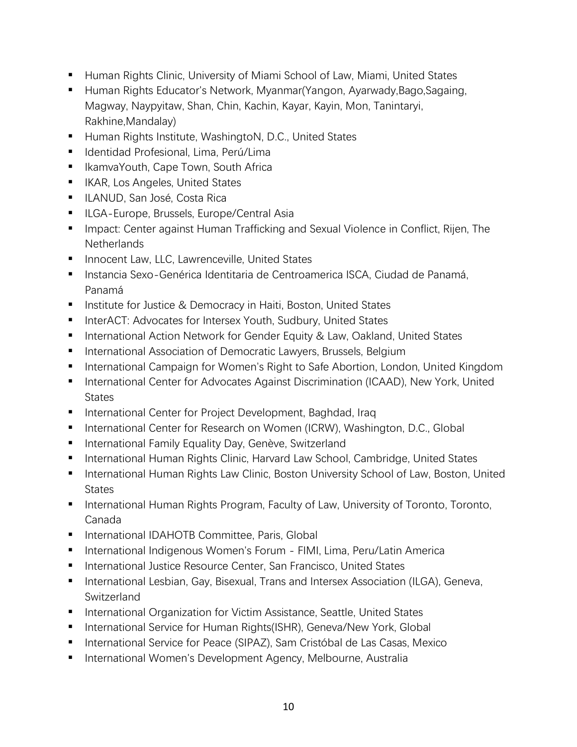- Human Rights Clinic, University of Miami School of Law, Miami, United States
- Human Rights Educator's Network, Myanmar (Yangon, Ayarwady, Bago, Sagaing, Magway, Naypyitaw, Shan, Chin, Kachin, Kayar, Kayin, Mon, Tanintaryi, Rakhine,Mandalay)
- Human Rights Institute, WashingtoN, D.C., United States
- Identidad Profesional, Lima, Perú/Lima
- IkamvaYouth, Cape Town, South Africa
- IKAR, Los Angeles, United States
- ILANUD, San José, Costa Rica
- ILGA-Europe, Brussels, Europe/Central Asia
- Impact: Center against Human Trafficking and Sexual Violence in Conflict, Rijen, The **Netherlands**
- Innocent Law, LLC, Lawrenceville, United States
- Instancia Sexo-Genérica Identitaria de Centroamerica ISCA, Ciudad de Panamá, Panamá
- Institute for Justice & Democracy in Haiti, Boston, United States
- InterACT: Advocates for Intersex Youth, Sudbury, United States
- International Action Network for Gender Equity & Law, Oakland, United States
- International Association of Democratic Lawyers, Brussels, Belgium
- International Campaign for Women's Right to Safe Abortion, London, United Kingdom
- International Center for Advocates Against Discrimination (ICAAD), New York, United **States**
- International Center for Project Development, Baghdad, Iraq
- International Center for Research on Women (ICRW), Washington, D.C., Global
- International Family Equality Day, Genève, Switzerland
- International Human Rights Clinic, Harvard Law School, Cambridge, United States
- **E** International Human Rights Law Clinic, Boston University School of Law, Boston, United **States**
- International Human Rights Program, Faculty of Law, University of Toronto, Toronto, Canada
- International IDAHOTB Committee, Paris, Global
- International Indigenous Women's Forum FIMI, Lima, Peru/Latin America
- International Justice Resource Center, San Francisco, United States
- International Lesbian, Gay, Bisexual, Trans and Intersex Association (ILGA), Geneva, Switzerland
- International Organization for Victim Assistance, Seattle, United States
- International Service for Human Rights(ISHR), Geneva/New York, Global
- International Service for Peace (SIPAZ), Sam Cristóbal de Las Casas, Mexico
- International Women's Development Agency, Melbourne, Australia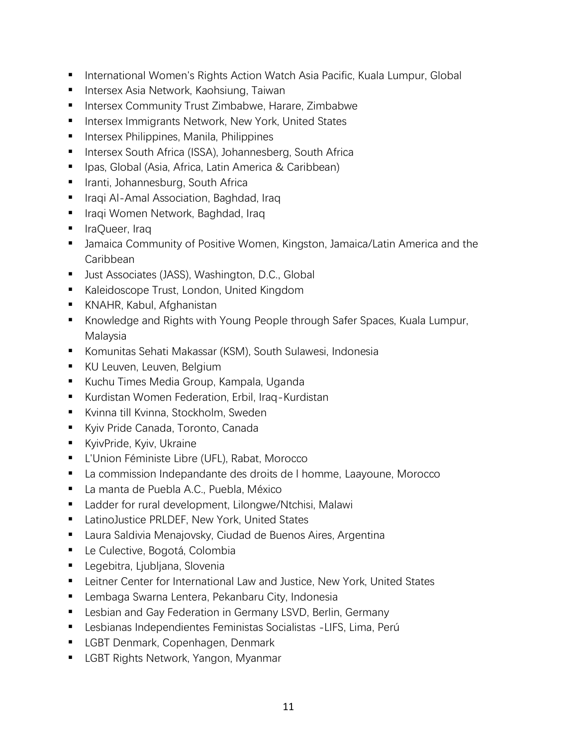- International Women's Rights Action Watch Asia Pacific, Kuala Lumpur, Global
- Intersex Asia Network, Kaohsiung, Taiwan
- Intersex Community Trust Zimbabwe, Harare, Zimbabwe
- Intersex Immigrants Network, New York, United States
- Intersex Philippines, Manila, Philippines
- Intersex South Africa (ISSA), Johannesberg, South Africa
- Ipas, Global (Asia, Africa, Latin America & Caribbean)
- Iranti, Johannesburg, South Africa
- Iraqi Al-Amal Association, Baghdad, Iraq
- Iraqi Women Network, Baghdad, Iraq
- IraQueer, Iraq
- Jamaica Community of Positive Women, Kingston, Jamaica/Latin America and the Caribbean
- Just Associates (JASS), Washington, D.C., Global
- Kaleidoscope Trust, London, United Kingdom
- KNAHR, Kabul, Afghanistan
- Knowledge and Rights with Young People through Safer Spaces, Kuala Lumpur, Malaysia
- Komunitas Sehati Makassar (KSM), South Sulawesi, Indonesia
- KU Leuven, Leuven, Belgium
- Kuchu Times Media Group, Kampala, Uganda
- Kurdistan Women Federation, Erbil, Iraq-Kurdistan
- Kvinna till Kvinna, Stockholm, Sweden
- Kyiv Pride Canada, Toronto, Canada
- **E** KyivPride, Kyiv, Ukraine
- L'Union Féministe Libre (UFL), Rabat, Morocco
- La commission Indepandante des droits de I homme, Laayoune, Morocco
- La manta de Puebla A.C., Puebla, México
- Ladder for rural development, Lilongwe/Ntchisi, Malawi
- LatinoJustice PRLDEF, New York, United States
- Laura Saldivia Menajovsky, Ciudad de Buenos Aires, Argentina
- Le Culective, Bogotá, Colombia
- Legebitra, Ljubljana, Slovenia
- Leitner Center for International Law and Justice, New York, United States
- Lembaga Swarna Lentera, Pekanbaru City, Indonesia
- Lesbian and Gay Federation in Germany LSVD, Berlin, Germany
- Lesbianas Independientes Feministas Socialistas -LIFS, Lima, Perú
- LGBT Denmark, Copenhagen, Denmark
- LGBT Rights Network, Yangon, Myanmar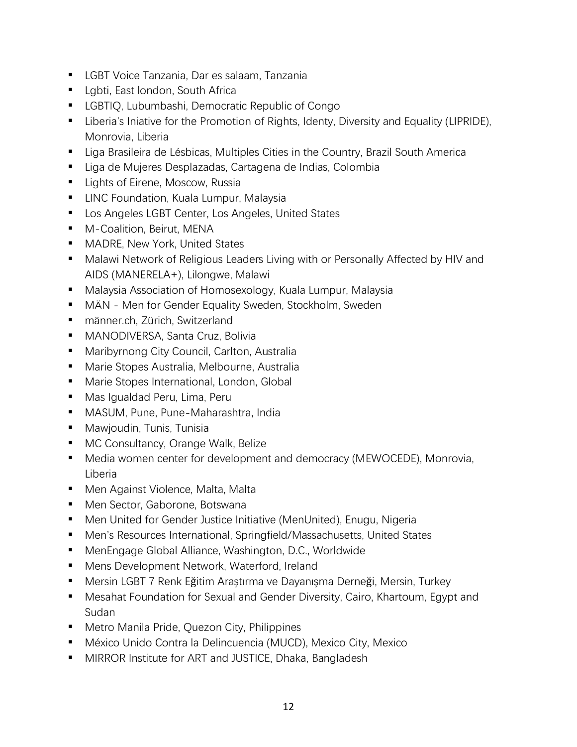- LGBT Voice Tanzania, Dar es salaam, Tanzania
- Lgbti, East london, South Africa
- LGBTIQ, Lubumbashi, Democratic Republic of Congo
- Liberia's Iniative for the Promotion of Rights, Identy, Diversity and Equality (LIPRIDE), Monrovia, Liberia
- Liga Brasileira de Lésbicas, Multiples Cities in the Country, Brazil South America
- Liga de Mujeres Desplazadas, Cartagena de Indias, Colombia
- Lights of Eirene, Moscow, Russia
- LINC Foundation, Kuala Lumpur, Malaysia
- Los Angeles LGBT Center, Los Angeles, United States
- M-Coalition, Beirut, MENA
- MADRE, New York, United States
- Malawi Network of Religious Leaders Living with or Personally Affected by HIV and AIDS (MANERELA+), Lilongwe, Malawi
- Malaysia Association of Homosexology, Kuala Lumpur, Malaysia
- **■** MÄN Men for Gender Equality Sweden, Stockholm, Sweden
- männer.ch, Zürich, Switzerland
- MANODIVERSA, Santa Cruz, Bolivia
- Maribyrnong City Council, Carlton, Australia
- Marie Stopes Australia, Melbourne, Australia
- Marie Stopes International, London, Global
- Mas Igualdad Peru, Lima, Peru
- MASUM, Pune, Pune-Maharashtra, India
- Mawjoudin, Tunis, Tunisia
- MC Consultancy, Orange Walk, Belize
- Media women center for development and democracy (MEWOCEDE), Monrovia, Liberia
- Men Against Violence, Malta, Malta
- Men Sector, Gaborone, Botswana
- Men United for Gender Justice Initiative (MenUnited), Enugu, Nigeria
- Men's Resources International, Springfield/Massachusetts, United States
- MenEngage Global Alliance, Washington, D.C., Worldwide
- Mens Development Network, Waterford, Ireland
- Mersin LGBT 7 Renk Eğitim Araştırma ve Dayanışma Derneği, Mersin, Turkey
- Mesahat Foundation for Sexual and Gender Diversity, Cairo, Khartoum, Egypt and Sudan
- Metro Manila Pride, Quezon City, Philippines
- México Unido Contra la Delincuencia (MUCD), Mexico City, Mexico
- MIRROR Institute for ART and JUSTICE, Dhaka, Bangladesh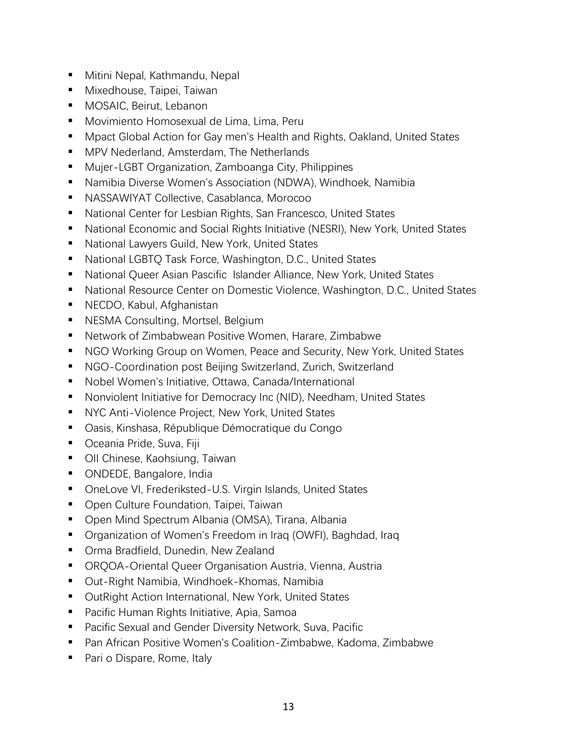- Mitini Nepal, Kathmandu, Nepal
- Mixedhouse, Taipei, Taiwan
- MOSAIC, Beirut, Lebanon
- Movimiento Homosexual de Lima, Lima, Peru
- Mpact Global Action for Gay men's Health and Rights, Oakland, United States
- MPV Nederland, Amsterdam, The Netherlands
- Mujer-LGBT Organization, Zamboanga City, Philippines
- Namibia Diverse Women's Association (NDWA), Windhoek, Namibia
- NASSAWIYAT Collective, Casablanca, Morocoo
- National Center for Lesbian Rights, San Francesco, United States
- National Economic and Social Rights Initiative (NESRI), New York, United States
- National Lawyers Guild, New York, United States
- National LGBTQ Task Force, Washington, D.C., United States
- National Queer Asian Pascific Islander Alliance, New York, United States
- National Resource Center on Domestic Violence, Washington, D.C., United States
- NECDO, Kabul, Afghanistan
- NESMA Consulting, Mortsel, Belgium
- Network of Zimbabwean Positive Women, Harare, Zimbabwe
- NGO Working Group on Women, Peace and Security, New York, United States
- NGO-Coordination post Beijing Switzerland, Zurich, Switzerland
- Nobel Women's Initiative, Ottawa, Canada/International
- Nonviolent Initiative for Democracy Inc (NID), Needham, United States
- NYC Anti-Violence Project, New York, United States
- Oasis, Kinshasa, République Démocratique du Congo
- Oceania Pride, Suva, Fiji
- OII Chinese, Kaohsiung, Taiwan
- ONDEDE, Bangalore, India
- OneLove VI, Frederiksted-U.S. Virgin Islands, United States
- Open Culture Foundation, Taipei, Taiwan
- Open Mind Spectrum Albania (OMSA), Tirana, Albania
- Organization of Women's Freedom in Iraq (OWFI), Baghdad, Iraq
- Orma Bradfield, Dunedin, New Zealand
- ORQOA-Oriental Queer Organisation Austria, Vienna, Austria
- Out-Right Namibia, Windhoek-Khomas, Namibia
- OutRight Action International, New York, United States
- Pacific Human Rights Initiative, Apia, Samoa
- Pacific Sexual and Gender Diversity Network, Suva, Pacific
- Pan African Positive Women's Coalition-Zimbabwe, Kadoma, Zimbabwe
- Pari o Dispare, Rome, Italy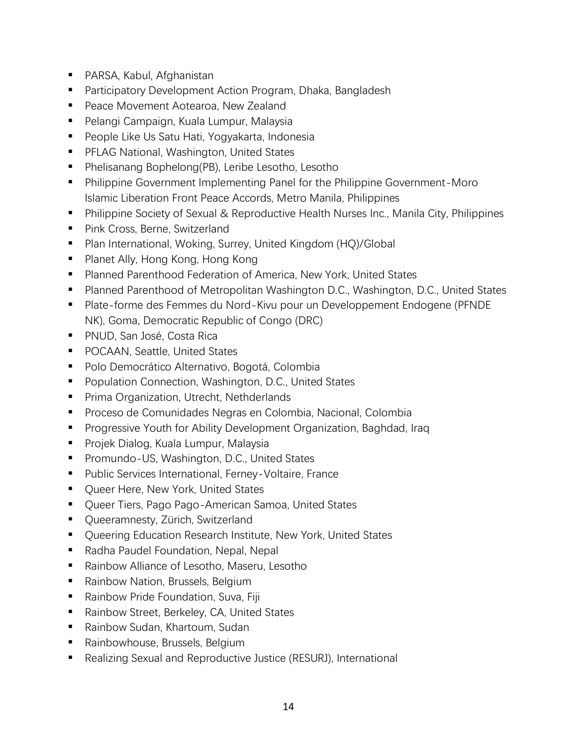- PARSA, Kabul, Afghanistan
- Participatory Development Action Program, Dhaka, Bangladesh
- Peace Movement Aotearoa, New Zealand
- Pelangi Campaign, Kuala Lumpur, Malaysia
- People Like Us Satu Hati, Yogyakarta, Indonesia
- PFLAG National, Washington, United States
- Phelisanang Bophelong(PB), Leribe Lesotho, Lesotho
- Philippine Government Implementing Panel for the Philippine Government-Moro Islamic Liberation Front Peace Accords, Metro Manila, Philippines
- Philippine Society of Sexual & Reproductive Health Nurses Inc., Manila City, Philippines
- Pink Cross, Berne, Switzerland
- Plan International, Woking, Surrey, United Kingdom (HQ)/Global
- Planet Ally, Hong Kong, Hong Kong
- Planned Parenthood Federation of America, New York, United States
- Planned Parenthood of Metropolitan Washington D.C., Washington, D.C., United States
- Plate-forme des Femmes du Nord-Kivu pour un Developpement Endogene (PFNDE NK), Goma, Democratic Republic of Congo (DRC)
- PNUD, San José, Costa Rica
- POCAAN, Seattle, United States
- Polo Democrático Alternativo, Bogotá, Colombia
- Population Connection, Washington, D.C., United States
- Prima Organization, Utrecht, Nethderlands
- Proceso de Comunidades Negras en Colombia, Nacional, Colombia
- Progressive Youth for Ability Development Organization, Baghdad, Iraq
- Projek Dialog, Kuala Lumpur, Malaysia
- Promundo-US, Washington, D.C., United States
- Public Services International, Ferney-Voltaire, France
- Oueer Here, New York, United States
- Queer Tiers, Pago Pago-American Samoa, United States
- Queeramnesty, Zürich, Switzerland
- Queering Education Research Institute, New York, United States
- Radha Paudel Foundation, Nepal, Nepal
- Rainbow Alliance of Lesotho, Maseru, Lesotho
- Rainbow Nation, Brussels, Belgium
- Rainbow Pride Foundation, Suva, Fiji
- Rainbow Street, Berkeley, CA, United States
- Rainbow Sudan, Khartoum, Sudan
- Rainbowhouse, Brussels, Belgium
- Realizing Sexual and Reproductive Justice (RESURJ), International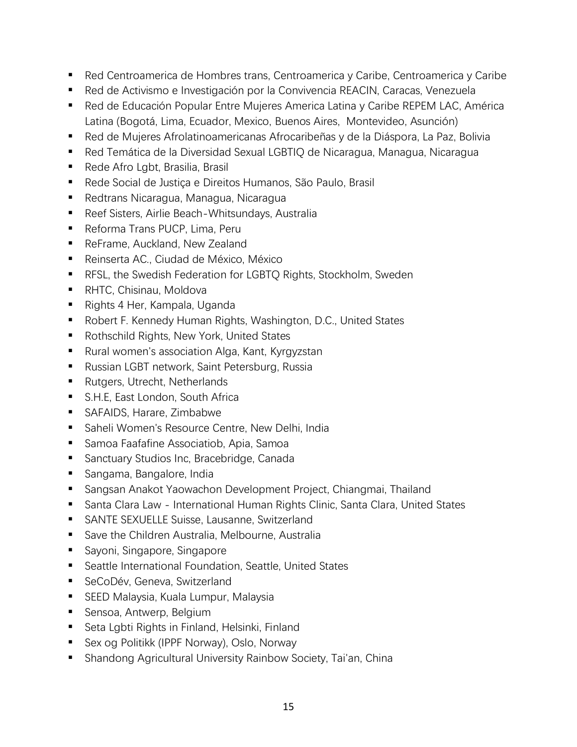- Red Centroamerica de Hombres trans, Centroamerica y Caribe, Centroamerica y Caribe
- Red de Activismo e Investigación por la Convivencia REACIN, Caracas, Venezuela
- Red de Educación Popular Entre Mujeres America Latina y Caribe REPEM LAC, América Latina (Bogotá, Lima, Ecuador, Mexico, Buenos Aires, Montevideo, Asunción)
- Red de Mujeres Afrolatinoamericanas Afrocaribeñas y de la Diáspora, La Paz, Bolivia
- Red Temática de la Diversidad Sexual LGBTIQ de Nicaragua, Managua, Nicaragua
- Rede Afro Lgbt, Brasilia, Brasil
- Rede Social de Justiça e Direitos Humanos, São Paulo, Brasil
- Redtrans Nicaragua, Managua, Nicaragua
- Reef Sisters, Airlie Beach-Whitsundays, Australia
- Reforma Trans PUCP, Lima, Peru
- ReFrame, Auckland, New Zealand
- Reinserta AC., Ciudad de México, México
- RFSL, the Swedish Federation for LGBTQ Rights, Stockholm, Sweden
- RHTC, Chisinau, Moldova
- Rights 4 Her, Kampala, Uganda
- Robert F. Kennedy Human Rights, Washington, D.C., United States
- Rothschild Rights, New York, United States
- Rural women's association Alga, Kant, Kyrgyzstan
- Russian LGBT network, Saint Petersburg, Russia
- Rutgers, Utrecht, Netherlands
- S.H.E, East London, South Africa
- SAFAIDS, Harare, Zimbabwe
- Saheli Women's Resource Centre, New Delhi, India
- Samoa Faafafine Associatiob, Apia, Samoa
- Sanctuary Studios Inc, Bracebridge, Canada
- Sangama, Bangalore, India
- Sangsan Anakot Yaowachon Development Project, Chiangmai, Thailand
- Santa Clara Law International Human Rights Clinic, Santa Clara, United States
- SANTE SEXUELLE Suisse, Lausanne, Switzerland
- Save the Children Australia, Melbourne, Australia
- Sayoni, Singapore, Singapore
- Seattle International Foundation, Seattle, United States
- SeCoDév, Geneva, Switzerland
- SEED Malaysia, Kuala Lumpur, Malaysia
- Sensoa, Antwerp, Belgium
- Seta Lgbti Rights in Finland, Helsinki, Finland
- Sex og Politikk (IPPF Norway), Oslo, Norway
- Shandong Agricultural University Rainbow Society, Tai'an, China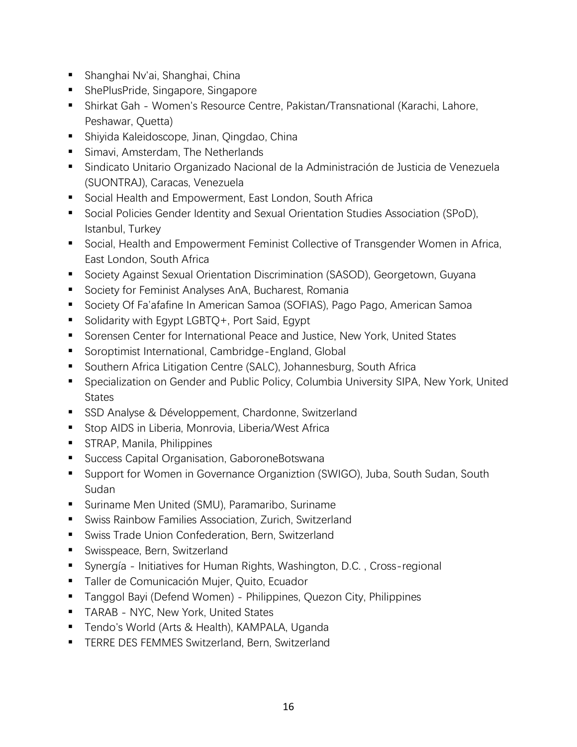- Shanghai Ny'ai, Shanghai, China
- ShePlusPride, Singapore, Singapore
- Shirkat Gah Women's Resource Centre, Pakistan/Transnational (Karachi, Lahore, Peshawar, Quetta)
- Shiyida Kaleidoscope, Jinan, Qingdao, China
- Simavi, Amsterdam, The Netherlands
- Sindicato Unitario Organizado Nacional de la Administración de Justicia de Venezuela (SUONTRAJ), Caracas, Venezuela
- Social Health and Empowerment, East London, South Africa
- Social Policies Gender Identity and Sexual Orientation Studies Association (SPoD), Istanbul, Turkey
- Social, Health and Empowerment Feminist Collective of Transgender Women in Africa, East London, South Africa
- Society Against Sexual Orientation Discrimination (SASOD), Georgetown, Guyana
- Society for Feminist Analyses AnA, Bucharest, Romania
- Society Of Fa'afafine In American Samoa (SOFIAS), Pago Pago, American Samoa
- Solidarity with Egypt LGBTQ+, Port Said, Egypt
- Sorensen Center for International Peace and Justice, New York, United States
- Soroptimist International, Cambridge-England, Global
- Southern Africa Litigation Centre (SALC), Johannesburg, South Africa
- Specialization on Gender and Public Policy, Columbia University SIPA, New York, United **States**
- SSD Analyse & Développement, Chardonne, Switzerland
- Stop AIDS in Liberia, Monrovia, Liberia/West Africa
- STRAP, Manila, Philippines
- Success Capital Organisation, GaboroneBotswana
- Support for Women in Governance Organiztion (SWIGO), Juba, South Sudan, South Sudan
- Suriname Men United (SMU), Paramaribo, Suriname
- Swiss Rainbow Families Association, Zurich, Switzerland
- Swiss Trade Union Confederation, Bern, Switzerland
- Swisspeace, Bern, Switzerland
- Synergía Initiatives for Human Rights, Washington, D.C., Cross-regional
- Taller de Comunicación Mujer, Quito, Ecuador
- Tanggol Bayi (Defend Women) Philippines, Quezon City, Philippines
- **TARAB NYC, New York, United States**
- Tendo's World (Arts & Health), KAMPALA, Uganda
- **EXECTE: TERRE DES FEMMES Switzerland, Bern, Switzerland**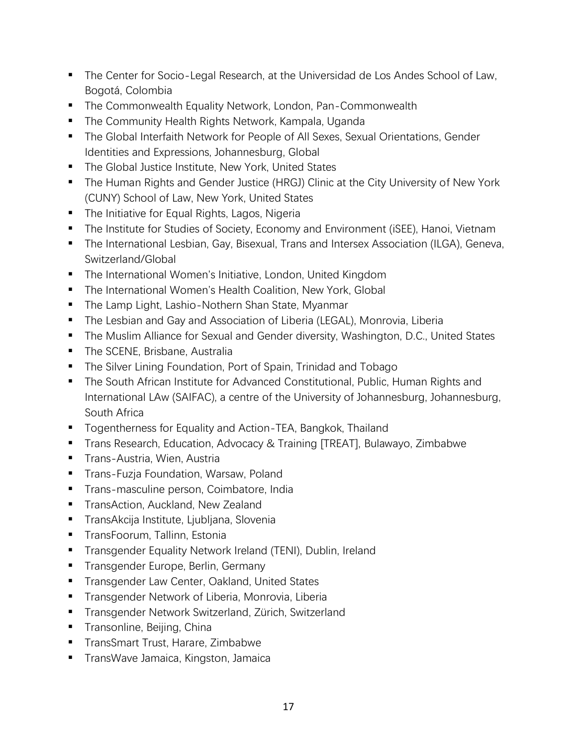- The Center for Socio-Legal Research, at the Universidad de Los Andes School of Law, Bogotá, Colombia
- The Commonwealth Equality Network, London, Pan-Commonwealth
- The Community Health Rights Network, Kampala, Uganda
- The Global Interfaith Network for People of All Sexes, Sexual Orientations, Gender Identities and Expressions, Johannesburg, Global
- The Global Justice Institute, New York, United States
- The Human Rights and Gender Justice (HRGJ) Clinic at the City University of New York (CUNY) School of Law, New York, United States
- The Initiative for Equal Rights, Lagos, Nigeria
- The Institute for Studies of Society, Economy and Environment (iSEE), Hanoi, Vietnam
- The International Lesbian, Gay, Bisexual, Trans and Intersex Association (ILGA), Geneva, Switzerland/Global
- **The International Women's Initiative, London, United Kingdom**
- The International Women's Health Coalition, New York, Global
- The Lamp Light, Lashio-Nothern Shan State, Myanmar
- **•** The Lesbian and Gay and Association of Liberia (LEGAL), Monrovia, Liberia
- The Muslim Alliance for Sexual and Gender diversity, Washington, D.C., United States
- **The SCENE, Brisbane, Australia**
- The Silver Lining Foundation, Port of Spain, Trinidad and Tobago
- The South African Institute for Advanced Constitutional, Public, Human Rights and International LAw (SAIFAC), a centre of the University of Johannesburg, Johannesburg, South Africa
- Togentherness for Equality and Action-TEA, Bangkok, Thailand
- Trans Research, Education, Advocacy & Training [TREAT], Bulawayo, Zimbabwe
- **Trans-Austria, Wien, Austria**
- **Trans-Fuzja Foundation, Warsaw, Poland**
- Trans-masculine person, Coimbatore, India
- **TransAction, Auckland, New Zealand**
- TransAkcija Institute, Ljubljana, Slovenia
- TransFoorum, Tallinn, Estonia
- **•** Transgender Equality Network Ireland (TENI), Dublin, Ireland
- **•** Transgender Europe, Berlin, Germany
- Transgender Law Center, Oakland, United States
- **•** Transgender Network of Liberia, Monrovia, Liberia
- Transgender Network Switzerland, Zürich, Switzerland
- **•** Transonline, Beijing, China
- TransSmart Trust, Harare, Zimbabwe
- **TransWave Jamaica, Kingston, Jamaica**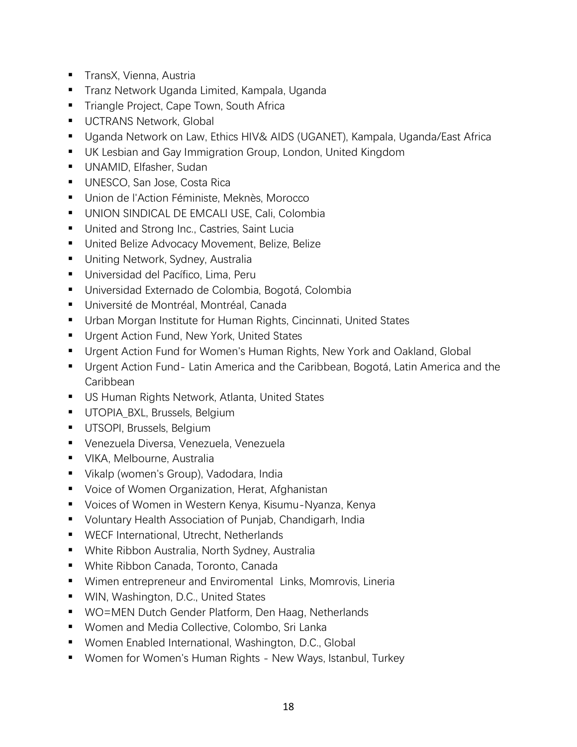- TransX, Vienna, Austria
- Tranz Network Uganda Limited, Kampala, Uganda
- **Triangle Project, Cape Town, South Africa**
- **UCTRANS Network, Global**
- Uganda Network on Law, Ethics HIV& AIDS (UGANET), Kampala, Uganda/East Africa
- UK Lesbian and Gay Immigration Group, London, United Kingdom
- UNAMID, Elfasher, Sudan
- UNESCO, San Jose, Costa Rica
- Union de l'Action Féministe, Meknès, Morocco
- UNION SINDICAL DE EMCALI USE, Cali, Colombia
- United and Strong Inc., Castries, Saint Lucia
- United Belize Advocacy Movement, Belize, Belize
- Uniting Network, Sydney, Australia
- Universidad del Pacífico, Lima, Peru
- Universidad Externado de Colombia, Bogotá, Colombia
- Université de Montréal, Montréal, Canada
- Urban Morgan Institute for Human Rights, Cincinnati, United States
- Urgent Action Fund, New York, United States
- Urgent Action Fund for Women's Human Rights, New York and Oakland, Global
- Urgent Action Fund-Latin America and the Caribbean, Bogotá, Latin America and the Caribbean
- US Human Rights Network, Atlanta, United States
- **•** UTOPIA BXL, Brussels, Belgium
- **·** UTSOPI, Brussels, Belgium
- Venezuela Diversa, Venezuela, Venezuela
- VIKA, Melbourne, Australia
- Vikalp (women's Group), Vadodara, India
- Voice of Women Organization, Herat, Afghanistan
- Voices of Women in Western Kenya, Kisumu-Nyanza, Kenya
- Voluntary Health Association of Punjab, Chandigarh, India
- WECF International, Utrecht, Netherlands
- White Ribbon Australia, North Sydney, Australia
- White Ribbon Canada, Toronto, Canada
- Wimen entrepreneur and Enviromental Links, Momrovis, Lineria
- WIN, Washington, D.C., United States
- WO=MEN Dutch Gender Platform, Den Haag, Netherlands
- Women and Media Collective, Colombo, Sri Lanka
- Women Enabled International, Washington, D.C., Global
- Women for Women's Human Rights New Ways, Istanbul, Turkey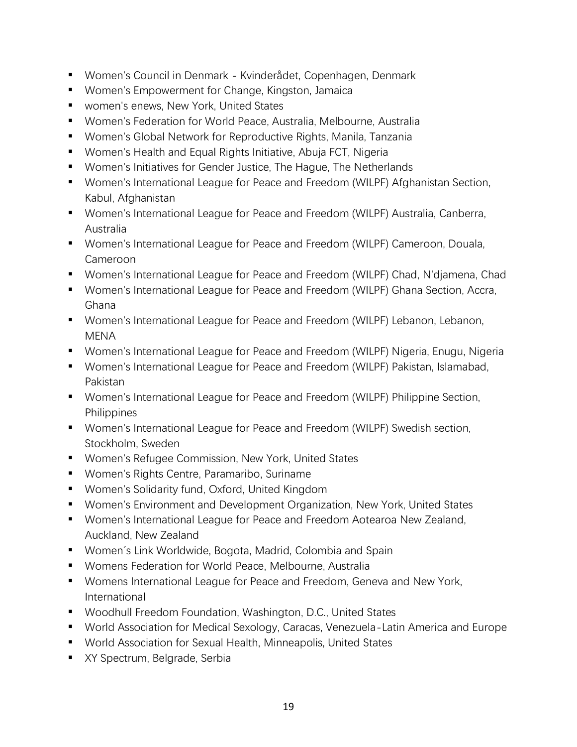- Women's Council in Denmark Kvinderådet, Copenhagen, Denmark
- Women's Empowerment for Change, Kingston, Jamaica
- women's enews, New York, United States
- Women's Federation for World Peace, Australia, Melbourne, Australia
- Women's Global Network for Reproductive Rights, Manila, Tanzania
- Women's Health and Equal Rights Initiative, Abuja FCT, Nigeria
- Women's Initiatives for Gender Justice, The Hague, The Netherlands
- Women's International League for Peace and Freedom (WILPF) Afghanistan Section, Kabul, Afghanistan
- Women's International League for Peace and Freedom (WILPF) Australia, Canberra, Australia
- Women's International League for Peace and Freedom (WILPF) Cameroon, Douala, Cameroon
- Women's International League for Peace and Freedom (WILPF) Chad, N'djamena, Chad
- Women's International League for Peace and Freedom (WILPF) Ghana Section, Accra, Ghana
- Women's International League for Peace and Freedom (WILPF) Lebanon, Lebanon, MENA
- Women's International League for Peace and Freedom (WILPF) Nigeria, Enugu, Nigeria
- Women's International League for Peace and Freedom (WILPF) Pakistan, Islamabad, Pakistan
- Women's International League for Peace and Freedom (WILPF) Philippine Section, **Philippines**
- Women's International League for Peace and Freedom (WILPF) Swedish section, Stockholm, Sweden
- Women's Refugee Commission, New York, United States
- Women's Rights Centre, Paramaribo, Suriname
- Women's Solidarity fund, Oxford, United Kingdom
- Women's Environment and Development Organization, New York, United States
- Women's International League for Peace and Freedom Aotearoa New Zealand, Auckland, New Zealand
- Women's Link Worldwide, Bogota, Madrid, Colombia and Spain
- Womens Federation for World Peace, Melbourne, Australia
- Womens International League for Peace and Freedom, Geneva and New York, International
- Woodhull Freedom Foundation, Washington, D.C., United States
- World Association for Medical Sexology, Caracas, Venezuela-Latin America and Europe
- World Association for Sexual Health, Minneapolis, United States
- XY Spectrum, Belgrade, Serbia